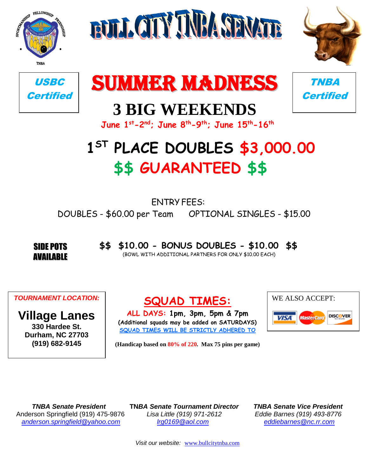









## **3 BIG WEEKENDS**



**June 1 st-2 nd; June 8 th-9 th; June 15th-16th**

## **1 ST PLACE DOUBLES \$3,000.00 \$\$ GUARANTEED \$\$**

ENTRY FEES: DOUBLES - \$60.00 per Team OPTIONAL SINGLES - \$15.00

SIDE POTS AVAILABLE **\$\$ \$10.00 - BONUS DOUBLES - \$10.00 \$\$** (BOWL WITH ADDITIONAL PARTNERS FOR ONLY \$10.00 EACH)

*TOURNAMENT LOCATION:*

**Village Lanes 330 Hardee St. Durham, NC 27703 (919) 682-9145**

**SQUAD TIMES:**

**ALL DAYS: 1pm, 3pm, 5pm & 7pm (Additional squads may be added on SATURDAYS) SQUAD TIMES WILL BE STRICTLY ADHERED TO**

WE ALSO ACCEPT: **DISCOVER VISA** MasterCard

**(Handicap based on 80% of 220. Max 75 pins per game)**

Anderson Springfield (919) 475-9876 *Lisa Little (919) 971-2612 Eddie Barnes (919) 493-8776 [anderson.springfield@yahoo.com](mailto:anderson.springfield@yahoo.com) [lrg0169@aol.com](mailto:lrg0169@aol.com) [eddiebarnes@nc.rr.com](mailto:eddiebarnes@frontier.com)*

 *TNBA Senate President* **TN***BA Senate Tournament Director TNBA Senate Vice President*

*Visit our website:* [www.bullcitytnba.com](http://www.bullcitytnba.com/)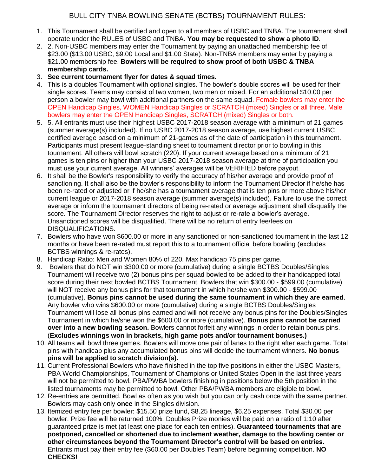- 1. This Tournament shall be certified and open to all members of USBC and TNBA. The tournament shall operate under the RULES of USBC and TNBA. **You may be requested to show a photo ID**.
- 2. 2. Non-USBC members may enter the Tournament by paying an unattached membership fee of \$23.00 (\$13.00 USBC, \$9.00 Local and \$1.00 State). Non-TNBA members may enter by paying a \$21.00 membership fee. **Bowlers will be required to show proof of both USBC & TNBA membership cards.**
- 3. **See current tournament flyer for dates & squad times.**
- 4. This is a doubles Tournament with optional singles. The bowler's double scores will be used for their single scores. Teams may consist of two women, two men or mixed. For an additional \$10.00 per person a bowler may bowl with additional partners on the same squad. Female bowlers may enter the OPEN Handicap Singles, WOMEN Handicap Singles or SCRATCH (mixed) Singles or all three. Male bowlers may enter the OPEN Handicap Singles, SCRATCH (mixed) Singles or both.
- 5. 5. All entrants must use their highest USBC 2017-2018 season average with a minimum of 21 games (summer average(s) included). If no USBC 2017-2018 season average, use highest current USBC certified average based on a minimum of 21-games as of the date of participation in this tournament. Participants must present league-standing sheet to tournament director prior to bowling in this tournament. All others will bowl scratch (220). If your current average based on a minimum of 21 games is ten pins or higher than your USBC 2017-2018 season average at time of participation you must use your current average. All winners' averages will be VERIFIED before payout.
- 6. It shall be the Bowler's responsibility to verify the accuracy of his/her average and provide proof of sanctioning. It shall also be the bowler's responsibility to inform the Tournament Director if he/she has been re-rated or adjusted or if he/she has a tournament average that is ten pins or more above his/her current league or 2017-2018 season average (summer average(s) included). Failure to use the correct average or inform the tournament directors of being re-rated or average adjustment shall disqualify the score. The Tournament Director reserves the right to adjust or re-rate a bowler's average. Unsanctioned scores will be disqualified. There will be no return of entry fee/fees on DISQUALIFICATIONS.
- 7. Bowlers who have won \$600.00 or more in any sanctioned or non-sanctioned tournament in the last 12 months or have been re-rated must report this to a tournament official before bowling (excludes BCTBS winnings & re-rates).
- 8. Handicap Ratio: Men and Women 80% of 220. Max handicap 75 pins per game.
- 9. Bowlers that do NOT win \$300.00 or more (cumulative) during a single BCTBS Doubles/Singles Tournament will receive two (2) bonus pins per squad bowled to be added to their handicapped total score during their next bowled BCTBS Tournament. Bowlers that win \$300.00 - \$599.00 (cumulative) will NOT receive any bonus pins for that tournament in which he/she won \$300.00 - \$599.00 (cumulative). **Bonus pins cannot be used during the same tournament in which they are earned**. Any bowler who wins \$600.00 or more (cumulative) during a single BCTBS Doubles/Singles Tournament will lose all bonus pins earned and will not receive any bonus pins for the Doubles/Singles Tournament in which he/she won the \$600.00 or more (cumulative). **Bonus pins cannot be carried over into a new bowling season.** Bowlers cannot forfeit any winnings in order to retain bonus pins. (**Excludes winnings won in brackets, high game pots and/or tournament bonuses.)**
- 10. All teams will bowl three games. Bowlers will move one pair of lanes to the right after each game. Total pins with handicap plus any accumulated bonus pins will decide the tournament winners. **No bonus pins will be applied to scratch division(s).**
- 11. Current Professional Bowlers who have finished in the top five positions in either the USBC Masters, PBA World Championships, Tournament of Champions or United States Open in the last three years will not be permitted to bowl. PBA/PWBA bowlers finishing in positions below the 5th position in the listed tournaments may be permitted to bowl. Other PBA/PWBA members are eligible to bowl.
- 12. Re-entries are permitted. Bowl as often as you wish but you can only cash once with the same partner. Bowlers may cash only **once** in the Singles division.
- 13. Itemized entry fee per bowler: \$15.50 prize fund, \$8.25 lineage, \$6.25 expenses. Total \$30.00 per bowler. Prize fee will be returned 100%. Doubles Prize monies will be paid on a ratio of 1:10 after guaranteed prize is met (at least one place for each ten entries). **Guaranteed tournaments that are postponed, cancelled or shortened due to inclement weather, damage to the bowling center or other circumstances beyond the Tournament Director's control will be based on entries.**  Entrants must pay their entry fee (\$60.00 per Doubles Team) before beginning competition. **NO CHECKS!**